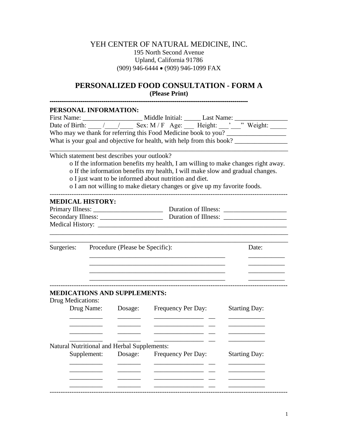#### YEH CENTER OF NATURAL MEDICINE, INC. 195 North Second Avenue Upland, California 91786 (909) 946-6444 (909) 946-1099 FAX

#### **PERSONALIZED FOOD CONSULTATION - FORM A (Please Print)**

| PERSONAL INFORMATION:                        |         |                                                                                   |                                                                                                                                                                                                                                      |
|----------------------------------------------|---------|-----------------------------------------------------------------------------------|--------------------------------------------------------------------------------------------------------------------------------------------------------------------------------------------------------------------------------------|
|                                              |         |                                                                                   |                                                                                                                                                                                                                                      |
|                                              |         |                                                                                   |                                                                                                                                                                                                                                      |
|                                              |         | Who may we thank for referring this Food Medicine book to you?                    |                                                                                                                                                                                                                                      |
|                                              |         | What is your goal and objective for health, with help from this book?             |                                                                                                                                                                                                                                      |
|                                              |         |                                                                                   |                                                                                                                                                                                                                                      |
| Which statement best describes your outlook? |         |                                                                                   |                                                                                                                                                                                                                                      |
|                                              |         | o If the information benefits my health, I am willing to make changes right away. |                                                                                                                                                                                                                                      |
|                                              |         | o If the information benefits my health, I will make slow and gradual changes.    |                                                                                                                                                                                                                                      |
|                                              |         | o I just want to be informed about nutrition and diet.                            |                                                                                                                                                                                                                                      |
|                                              |         | o I am not willing to make dietary changes or give up my favorite foods.          |                                                                                                                                                                                                                                      |
| <b>MEDICAL HISTORY:</b>                      |         |                                                                                   |                                                                                                                                                                                                                                      |
|                                              |         |                                                                                   |                                                                                                                                                                                                                                      |
|                                              |         |                                                                                   |                                                                                                                                                                                                                                      |
|                                              |         |                                                                                   |                                                                                                                                                                                                                                      |
|                                              |         |                                                                                   |                                                                                                                                                                                                                                      |
|                                              |         |                                                                                   |                                                                                                                                                                                                                                      |
| Surgeries: Procedure (Please be Specific):   |         |                                                                                   | Date:                                                                                                                                                                                                                                |
|                                              |         |                                                                                   |                                                                                                                                                                                                                                      |
|                                              |         |                                                                                   |                                                                                                                                                                                                                                      |
|                                              |         |                                                                                   |                                                                                                                                                                                                                                      |
|                                              |         |                                                                                   |                                                                                                                                                                                                                                      |
| <b>MEDICATIONS AND SUPPLEMENTS:</b>          |         |                                                                                   |                                                                                                                                                                                                                                      |
| <b>Drug Medications:</b>                     |         |                                                                                   |                                                                                                                                                                                                                                      |
| Drug Name:                                   |         | Dosage: Frequency Per Day:                                                        | <b>Starting Day:</b>                                                                                                                                                                                                                 |
| $\overline{\phantom{a}}$                     |         |                                                                                   |                                                                                                                                                                                                                                      |
|                                              |         |                                                                                   |                                                                                                                                                                                                                                      |
|                                              |         |                                                                                   | <u> The Community of the Community of the Community of the Community of the Community of the Community of the Community of the Community of the Community of the Community of the Community of the Community of the Community of</u> |
|                                              |         |                                                                                   |                                                                                                                                                                                                                                      |
| Natural Nutritional and Herbal Supplements:  |         |                                                                                   |                                                                                                                                                                                                                                      |
| Supplement:                                  | Dosage: | Frequency Per Day:                                                                | <b>Starting Day:</b>                                                                                                                                                                                                                 |
|                                              |         |                                                                                   |                                                                                                                                                                                                                                      |
|                                              |         |                                                                                   |                                                                                                                                                                                                                                      |
|                                              |         |                                                                                   |                                                                                                                                                                                                                                      |
|                                              |         |                                                                                   |                                                                                                                                                                                                                                      |
|                                              |         |                                                                                   |                                                                                                                                                                                                                                      |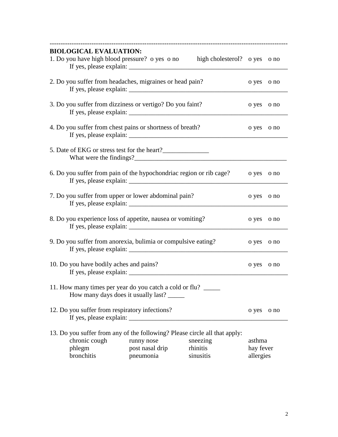|                                                                                                                                                                                     | <b>BIOLOGICAL EVALUATION:</b>                                                                  |                                            | 1. Do you have high blood pressure? o yes o no high cholesterol? o yes o no<br>If yes, please explain: $\sqrt{ }$ |                                  |            |  |
|-------------------------------------------------------------------------------------------------------------------------------------------------------------------------------------|------------------------------------------------------------------------------------------------|--------------------------------------------|-------------------------------------------------------------------------------------------------------------------|----------------------------------|------------|--|
| 2. Do you suffer from headaches, migraines or head pain?                                                                                                                            | o yes                                                                                          | o no                                       |                                                                                                                   |                                  |            |  |
|                                                                                                                                                                                     | 3. Do you suffer from dizziness or vertigo? Do you faint?                                      |                                            |                                                                                                                   |                                  |            |  |
| 4. Do you suffer from chest pains or shortness of breath?                                                                                                                           | o yes                                                                                          | o no                                       |                                                                                                                   |                                  |            |  |
|                                                                                                                                                                                     | 5. Date of EKG or stress test for the heart?                                                   |                                            |                                                                                                                   |                                  |            |  |
| 6. Do you suffer from pain of the hypochondriac region or rib cage?<br>If yes, please explain: $\sqrt{\frac{2}{1-\frac{1}{2}} + \frac{1}{2-\frac{1}{2}} + \frac{1}{2-\frac{1}{2}}}$ |                                                                                                |                                            |                                                                                                                   |                                  | o no       |  |
| 7. Do you suffer from upper or lower abdominal pain?                                                                                                                                |                                                                                                |                                            |                                                                                                                   |                                  | o yes o no |  |
| 8. Do you experience loss of appetite, nausea or vomiting?                                                                                                                          |                                                                                                |                                            |                                                                                                                   |                                  | o no       |  |
|                                                                                                                                                                                     | 9. Do you suffer from anorexia, bulimia or compulsive eating?                                  |                                            |                                                                                                                   | o yes o no                       |            |  |
| 10. Do you have bodily aches and pains?                                                                                                                                             |                                                                                                |                                            |                                                                                                                   |                                  | o no       |  |
|                                                                                                                                                                                     | 11. How many times per year do you catch a cold or flu?<br>How many days does it usually last? |                                            |                                                                                                                   |                                  |            |  |
|                                                                                                                                                                                     | 12. Do you suffer from respiratory infections?                                                 |                                            |                                                                                                                   | o yes                            | o no       |  |
|                                                                                                                                                                                     | chronic cough<br>phlegm<br>bronchitis                                                          | runny nose<br>post nasal drip<br>pneumonia | 13. Do you suffer from any of the following? Please circle all that apply:<br>sneezing<br>rhinitis<br>sinusitis   | asthma<br>hay fever<br>allergies |            |  |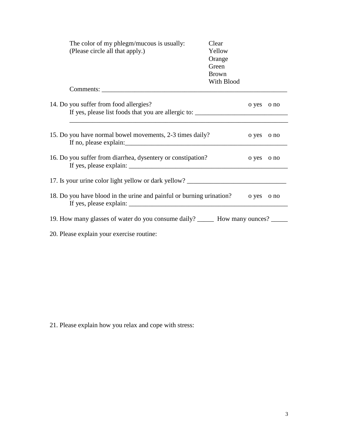| The color of my phlegm/mucous is usually:<br>(Please circle all that apply.)                                                                                                                                                                                                                                                                                              | Clear<br>Yellow<br>Orange<br>Green<br><b>Brown</b><br>With Blood |       |      |
|---------------------------------------------------------------------------------------------------------------------------------------------------------------------------------------------------------------------------------------------------------------------------------------------------------------------------------------------------------------------------|------------------------------------------------------------------|-------|------|
| Comments:                                                                                                                                                                                                                                                                                                                                                                 |                                                                  |       |      |
| 14. Do you suffer from food allergies?<br>If yes, please list foods that you are allergic to: _____________________________                                                                                                                                                                                                                                               |                                                                  | o yes | o no |
| 15. Do you have normal bowel movements, 2-3 times daily?                                                                                                                                                                                                                                                                                                                  |                                                                  | o yes | o no |
| 16. Do you suffer from diarrhea, dysentery or constipation?<br>If yes, please explain:                                                                                                                                                                                                                                                                                    |                                                                  | o yes | o no |
| 17. Is your urine color light yellow or dark yellow? ___________________________                                                                                                                                                                                                                                                                                          |                                                                  |       |      |
| 18. Do you have blood in the urine and painful or burning urination?<br>If yes, please explain: $\frac{1}{1}$ = $\frac{1}{1}$ = $\frac{1}{1}$ = $\frac{1}{1}$ = $\frac{1}{1}$ = $\frac{1}{1}$ = $\frac{1}{1}$ = $\frac{1}{1}$ = $\frac{1}{1}$ = $\frac{1}{1}$ = $\frac{1}{1}$ = $\frac{1}{1}$ = $\frac{1}{1}$ = $\frac{1}{1}$ = $\frac{1}{1}$ = $\frac{1}{1}$ = $\frac{1$ |                                                                  | o yes | o no |
| 19. How many glasses of water do you consume daily? _______ How many ounces? _____                                                                                                                                                                                                                                                                                        |                                                                  |       |      |
| 20. Please explain your exercise routine:                                                                                                                                                                                                                                                                                                                                 |                                                                  |       |      |

21. Please explain how you relax and cope with stress: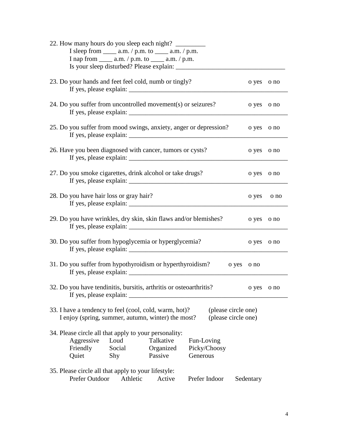| 22. How many hours do you sleep each night?<br>I sleep from $\_\_\_\$ a.m. / p.m. to $\_\_\_\$ a.m. / p.m.<br>I nap from $\_\_\_\$ a.m. / p.m. to $\_\_\_\$ a.m. / p.m.                          |            |      |
|--------------------------------------------------------------------------------------------------------------------------------------------------------------------------------------------------|------------|------|
| 23. Do your hands and feet feel cold, numb or tingly?                                                                                                                                            | o yes o no |      |
| 24. Do you suffer from uncontrolled movement(s) or seizures?<br>If yes, please explain: $\frac{1}{\sqrt{1-\frac{1}{2}} \cdot \frac{1}{\sqrt{1-\frac{1}{2}}}}$                                    | o yes      | o no |
| 25. Do you suffer from mood swings, anxiety, anger or depression?                                                                                                                                | o yes      | o no |
| 26. Have you been diagnosed with cancer, tumors or cysts?                                                                                                                                        | o yes      | o no |
| 27. Do you smoke cigarettes, drink alcohol or take drugs?                                                                                                                                        | o yes      | o no |
| 28. Do you have hair loss or gray hair?                                                                                                                                                          | o yes      | o no |
| 29. Do you have wrinkles, dry skin, skin flaws and/or blemishes?<br>If yes, please explain:                                                                                                      | o yes      | o no |
| 30. Do you suffer from hypoglycemia or hyperglycemia?                                                                                                                                            | o yes      | o no |
| 31. Do you suffer from hypothyroidism or hyperthyroidism?<br>o yes                                                                                                                               | o no       |      |
| 32. Do you have tendinitis, bursitis, arthritis or osteoarthritis?<br>If yes, please explain:                                                                                                    | o yes o no |      |
| 33. I have a tendency to feel (cool, cold, warm, hot)?<br>(please circle one)<br>(please circle one)<br>I enjoy (spring, summer, autumn, winter) the most?                                       |            |      |
| 34. Please circle all that apply to your personality:<br>Aggressive<br>Loud<br>Talkative<br>Fun-Loving<br>Friendly<br>Social<br>Organized<br>Picky/Choosy<br>Passive<br>Generous<br>Quiet<br>Shy |            |      |
| 35. Please circle all that apply to your lifestyle:<br>Prefer Outdoor<br>Athletic<br>Active<br>Prefer Indoor                                                                                     | Sedentary  |      |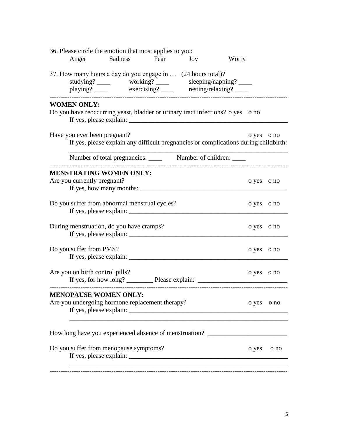|                                 | 36. Please circle the emotion that most applies to you:                                                                                                                                                                                                                                                                                                                                                                                                                                                          |     |       |            |      |
|---------------------------------|------------------------------------------------------------------------------------------------------------------------------------------------------------------------------------------------------------------------------------------------------------------------------------------------------------------------------------------------------------------------------------------------------------------------------------------------------------------------------------------------------------------|-----|-------|------------|------|
|                                 | Anger Sadness Fear                                                                                                                                                                                                                                                                                                                                                                                                                                                                                               | Joy | Worry |            |      |
|                                 | 37. How many hours a day do you engage in  (24 hours total)?<br>studying? ______ working? _____ sleeping/napping? ____<br>playing? ______ exercising? _____ resting/relaxing? ____                                                                                                                                                                                                                                                                                                                               |     |       |            |      |
| <b>WOMEN ONLY:</b>              | Do you have reoccurring yeast, bladder or urinary tract infections? o yes ono<br>If yes, please explain: $\frac{1}{\sqrt{1-\frac{1}{2}} \cdot \frac{1}{\sqrt{1-\frac{1}{2}} \cdot \frac{1}{\sqrt{1-\frac{1}{2}} \cdot \frac{1}{\sqrt{1-\frac{1}{2}} \cdot \frac{1}{\sqrt{1-\frac{1}{2}} \cdot \frac{1}{\sqrt{1-\frac{1}{2}} \cdot \frac{1}{\sqrt{1-\frac{1}{2}} \cdot \frac{1}{\sqrt{1-\frac{1}{2}} \cdot \frac{1}{\sqrt{1-\frac{1}{2}} \cdot \frac{1}{\sqrt{1-\frac{1}{2}} \cdot \frac{1}{\sqrt{1-\frac{1}{2}}$ |     |       |            |      |
| Have you ever been pregnant?    | If yes, please explain any difficult pregnancies or complications during childbirth:                                                                                                                                                                                                                                                                                                                                                                                                                             |     |       | o yes o no |      |
|                                 |                                                                                                                                                                                                                                                                                                                                                                                                                                                                                                                  |     |       |            |      |
| Are you currently pregnant?     | <b>MENSTRATING WOMEN ONLY:</b><br>If yes, how many months:                                                                                                                                                                                                                                                                                                                                                                                                                                                       |     |       | o yes o no |      |
|                                 | Do you suffer from abnormal menstrual cycles?                                                                                                                                                                                                                                                                                                                                                                                                                                                                    |     |       | o yes o no |      |
|                                 | During menstruation, do you have cramps?                                                                                                                                                                                                                                                                                                                                                                                                                                                                         |     |       | o yes      | o no |
| Do you suffer from PMS?         |                                                                                                                                                                                                                                                                                                                                                                                                                                                                                                                  |     |       | o yes o no |      |
| Are you on birth control pills? |                                                                                                                                                                                                                                                                                                                                                                                                                                                                                                                  |     |       | o yes      | o no |
|                                 | <b>MENOPAUSE WOMEN ONLY:</b><br>Are you undergoing hormone replacement therapy?                                                                                                                                                                                                                                                                                                                                                                                                                                  |     |       | o yes      | o no |
|                                 | How long have you experienced absence of menstruation? _________________________                                                                                                                                                                                                                                                                                                                                                                                                                                 |     |       |            |      |
|                                 | Do you suffer from menopause symptoms?                                                                                                                                                                                                                                                                                                                                                                                                                                                                           |     |       | o yes      | o no |
|                                 |                                                                                                                                                                                                                                                                                                                                                                                                                                                                                                                  |     |       |            |      |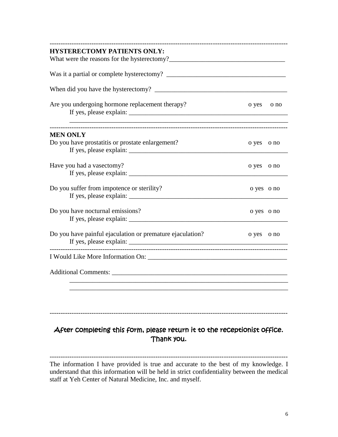| <b>HYSTERECTOMY PATIENTS ONLY:</b>                        |            |      |
|-----------------------------------------------------------|------------|------|
|                                                           |            |      |
|                                                           |            |      |
| Are you undergoing hormone replacement therapy?           | o yes      | o no |
| <b>MEN ONLY</b>                                           |            |      |
| Do you have prostatitis or prostate enlargement?          | o yes o no |      |
| Have you had a vasectomy?                                 | o yes o no |      |
| Do you suffer from impotence or sterility?                | o yes o no |      |
| Do you have nocturnal emissions?                          | o yes o no |      |
| Do you have painful ejaculation or premature ejaculation? | o yes o no |      |
|                                                           |            |      |
|                                                           |            |      |
|                                                           |            |      |

# After completing this form, please return it to the receptionist office. Thank you.

------------------------------------------------------------------------------------------------------------

------------------------------------------------------------------------------------------------------------ The information I have provided is true and accurate to the best of my knowledge. I understand that this information will be held in strict confidentiality between the medical staff at Yeh Center of Natural Medicine, Inc. and myself.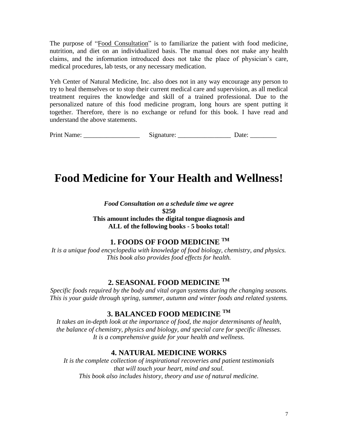The purpose of "Food Consultation" is to familiarize the patient with food medicine, nutrition, and diet on an individualized basis. The manual does not make any health claims, and the information introduced does not take the place of physician's care, medical procedures, lab tests, or any necessary medication.

Yeh Center of Natural Medicine, Inc. also does not in any way encourage any person to try to heal themselves or to stop their current medical care and supervision, as all medical treatment requires the knowledge and skill of a trained professional. Due to the personalized nature of this food medicine program, long hours are spent putting it together. Therefore, there is no exchange or refund for this book. I have read and understand the above statements.

| Print Name: | .signature: | Jate |
|-------------|-------------|------|
|-------------|-------------|------|

# **Food Medicine for Your Health and Wellness!** J.

*Food Consultation on a schedule time we agree* **\$250 This amount includes the digital tongue diagnosis and ALL of the following books - 5 books total!**

### **1. FOODS OF FOOD MEDICINE TM**

*It is a unique food encyclopedia with knowledge of food biology, chemistry, and physics. This book also provides food effects for health.*

### **2. SEASONAL FOOD MEDICINE TM**

*Specific foods required by the body and vital organ systems during the changing seasons. This is your guide through spring, summer, autumn and winter foods and related systems.*  $\frac{1}{2}$ 

## **3. BALANCED FOOD MEDICINE TM**

*It takes an in-depth look at the importance of food, the major determinants of health, the balance of chemistry, physics and biology, and special care for specific illnesses. It is a comprehensive guide for your health and wellness.*  $\overline{a}$ 

## **4. NATURAL MEDICINE WORKS**

*It is the complete collection of inspirational recoveries and patient testimonials that will touch your heart, mind and soul. This book also includes history, theory and use of natural medicine.*  $\frac{1}{2}$